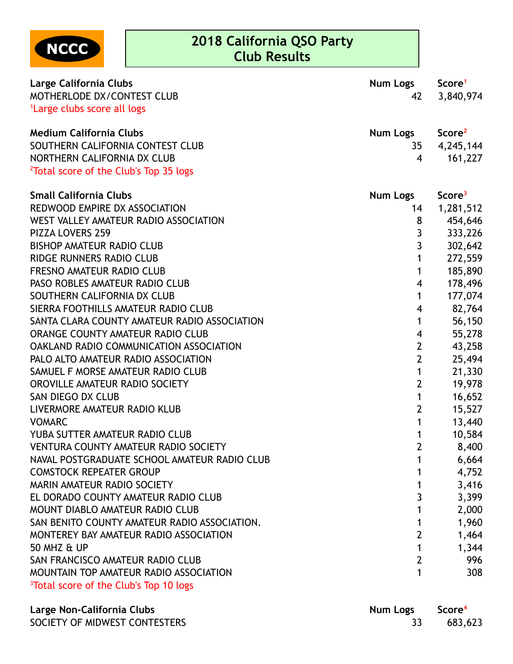

| MOTHERLODE DX/CONTEST CLUB<br>3,840,974<br>42<br><sup>1</sup> Large clubs score all logs<br><b>Medium California Clubs</b><br>Score <sup>2</sup><br>Num Logs<br>SOUTHERN CALIFORNIA CONTEST CLUB<br>4,245,144<br>35<br>NORTHERN CALIFORNIA DX CLUB<br>161,227<br>4<br><sup>2</sup> Total score of the Club's Top 35 logs<br><b>Small California Clubs</b><br><b>Num Logs</b><br>Score <sup>3</sup><br>REDWOOD EMPIRE DX ASSOCIATION<br>1,281,512<br>14<br>WEST VALLEY AMATEUR RADIO ASSOCIATION<br>8<br>454,646<br>3<br>333,226<br><b>PIZZA LOVERS 259</b><br>3<br>302,642<br><b>BISHOP AMATEUR RADIO CLUB</b><br><b>RIDGE RUNNERS RADIO CLUB</b><br>272,559<br>1<br>185,890<br><b>FRESNO AMATEUR RADIO CLUB</b><br>1<br>178,496<br>PASO ROBLES AMATEUR RADIO CLUB<br>$\overline{\mathbf{4}}$<br>177,074<br>SOUTHERN CALIFORNIA DX CLUB<br>1<br>SIERRA FOOTHILLS AMATEUR RADIO CLUB<br>82,764<br>$\overline{\mathbf{4}}$<br>SANTA CLARA COUNTY AMATEUR RADIO ASSOCIATION<br>56,150<br>1<br>ORANGE COUNTY AMATEUR RADIO CLUB<br>55,278<br>4<br>$\overline{2}$<br>43,258<br><b>OAKLAND RADIO COMMUNICATION ASSOCIATION</b><br>$\overline{2}$<br>PALO ALTO AMATEUR RADIO ASSOCIATION<br>25,494<br>SAMUEL F MORSE AMATEUR RADIO CLUB<br>1<br>21,330<br>$\overline{2}$<br>19,978<br>OROVILLE AMATEUR RADIO SOCIETY<br>1<br>SAN DIEGO DX CLUB<br>16,652<br>$\overline{2}$<br>LIVERMORE AMATEUR RADIO KLUB<br>15,527<br>13,440<br><b>VOMARC</b><br>1<br>YUBA SUTTER AMATEUR RADIO CLUB<br>10,584<br>1<br>$\overline{2}$<br><b>VENTURA COUNTY AMATEUR RADIO SOCIETY</b><br>8,400<br>NAVAL POSTGRADUATE SCHOOL AMATEUR RADIO CLUB<br>6,664<br><b>COMSTOCK REPEATER GROUP</b><br>4,752<br>3,416<br><b>MARIN AMATEUR RADIO SOCIETY</b><br>3<br>3,399<br>EL DORADO COUNTY AMATEUR RADIO CLUB<br>2,000<br><b>MOUNT DIABLO AMATEUR RADIO CLUB</b><br>SAN BENITO COUNTY AMATEUR RADIO ASSOCIATION.<br>1,960<br>1<br>$\overline{2}$<br>1,464<br>MONTEREY BAY AMATEUR RADIO ASSOCIATION<br>1,344<br>50 MHZ & UP<br>1<br>$\overline{2}$<br>SAN FRANCISCO AMATEUR RADIO CLUB<br>996<br>308<br>MOUNTAIN TOP AMATEUR RADIO ASSOCIATION<br>1 | Large California Clubs                             | Num Logs | Score <sup>1</sup> |
|------------------------------------------------------------------------------------------------------------------------------------------------------------------------------------------------------------------------------------------------------------------------------------------------------------------------------------------------------------------------------------------------------------------------------------------------------------------------------------------------------------------------------------------------------------------------------------------------------------------------------------------------------------------------------------------------------------------------------------------------------------------------------------------------------------------------------------------------------------------------------------------------------------------------------------------------------------------------------------------------------------------------------------------------------------------------------------------------------------------------------------------------------------------------------------------------------------------------------------------------------------------------------------------------------------------------------------------------------------------------------------------------------------------------------------------------------------------------------------------------------------------------------------------------------------------------------------------------------------------------------------------------------------------------------------------------------------------------------------------------------------------------------------------------------------------------------------------------------------------------------------------------------------------------------------------------------------------------------------------------------------------------------------------------------------------------------------------------------------------------|----------------------------------------------------|----------|--------------------|
|                                                                                                                                                                                                                                                                                                                                                                                                                                                                                                                                                                                                                                                                                                                                                                                                                                                                                                                                                                                                                                                                                                                                                                                                                                                                                                                                                                                                                                                                                                                                                                                                                                                                                                                                                                                                                                                                                                                                                                                                                                                                                                                        |                                                    |          |                    |
|                                                                                                                                                                                                                                                                                                                                                                                                                                                                                                                                                                                                                                                                                                                                                                                                                                                                                                                                                                                                                                                                                                                                                                                                                                                                                                                                                                                                                                                                                                                                                                                                                                                                                                                                                                                                                                                                                                                                                                                                                                                                                                                        |                                                    |          |                    |
|                                                                                                                                                                                                                                                                                                                                                                                                                                                                                                                                                                                                                                                                                                                                                                                                                                                                                                                                                                                                                                                                                                                                                                                                                                                                                                                                                                                                                                                                                                                                                                                                                                                                                                                                                                                                                                                                                                                                                                                                                                                                                                                        |                                                    |          |                    |
|                                                                                                                                                                                                                                                                                                                                                                                                                                                                                                                                                                                                                                                                                                                                                                                                                                                                                                                                                                                                                                                                                                                                                                                                                                                                                                                                                                                                                                                                                                                                                                                                                                                                                                                                                                                                                                                                                                                                                                                                                                                                                                                        |                                                    |          |                    |
|                                                                                                                                                                                                                                                                                                                                                                                                                                                                                                                                                                                                                                                                                                                                                                                                                                                                                                                                                                                                                                                                                                                                                                                                                                                                                                                                                                                                                                                                                                                                                                                                                                                                                                                                                                                                                                                                                                                                                                                                                                                                                                                        |                                                    |          |                    |
|                                                                                                                                                                                                                                                                                                                                                                                                                                                                                                                                                                                                                                                                                                                                                                                                                                                                                                                                                                                                                                                                                                                                                                                                                                                                                                                                                                                                                                                                                                                                                                                                                                                                                                                                                                                                                                                                                                                                                                                                                                                                                                                        |                                                    |          |                    |
|                                                                                                                                                                                                                                                                                                                                                                                                                                                                                                                                                                                                                                                                                                                                                                                                                                                                                                                                                                                                                                                                                                                                                                                                                                                                                                                                                                                                                                                                                                                                                                                                                                                                                                                                                                                                                                                                                                                                                                                                                                                                                                                        |                                                    |          |                    |
|                                                                                                                                                                                                                                                                                                                                                                                                                                                                                                                                                                                                                                                                                                                                                                                                                                                                                                                                                                                                                                                                                                                                                                                                                                                                                                                                                                                                                                                                                                                                                                                                                                                                                                                                                                                                                                                                                                                                                                                                                                                                                                                        |                                                    |          |                    |
|                                                                                                                                                                                                                                                                                                                                                                                                                                                                                                                                                                                                                                                                                                                                                                                                                                                                                                                                                                                                                                                                                                                                                                                                                                                                                                                                                                                                                                                                                                                                                                                                                                                                                                                                                                                                                                                                                                                                                                                                                                                                                                                        |                                                    |          |                    |
|                                                                                                                                                                                                                                                                                                                                                                                                                                                                                                                                                                                                                                                                                                                                                                                                                                                                                                                                                                                                                                                                                                                                                                                                                                                                                                                                                                                                                                                                                                                                                                                                                                                                                                                                                                                                                                                                                                                                                                                                                                                                                                                        |                                                    |          |                    |
|                                                                                                                                                                                                                                                                                                                                                                                                                                                                                                                                                                                                                                                                                                                                                                                                                                                                                                                                                                                                                                                                                                                                                                                                                                                                                                                                                                                                                                                                                                                                                                                                                                                                                                                                                                                                                                                                                                                                                                                                                                                                                                                        |                                                    |          |                    |
|                                                                                                                                                                                                                                                                                                                                                                                                                                                                                                                                                                                                                                                                                                                                                                                                                                                                                                                                                                                                                                                                                                                                                                                                                                                                                                                                                                                                                                                                                                                                                                                                                                                                                                                                                                                                                                                                                                                                                                                                                                                                                                                        |                                                    |          |                    |
|                                                                                                                                                                                                                                                                                                                                                                                                                                                                                                                                                                                                                                                                                                                                                                                                                                                                                                                                                                                                                                                                                                                                                                                                                                                                                                                                                                                                                                                                                                                                                                                                                                                                                                                                                                                                                                                                                                                                                                                                                                                                                                                        |                                                    |          |                    |
|                                                                                                                                                                                                                                                                                                                                                                                                                                                                                                                                                                                                                                                                                                                                                                                                                                                                                                                                                                                                                                                                                                                                                                                                                                                                                                                                                                                                                                                                                                                                                                                                                                                                                                                                                                                                                                                                                                                                                                                                                                                                                                                        |                                                    |          |                    |
|                                                                                                                                                                                                                                                                                                                                                                                                                                                                                                                                                                                                                                                                                                                                                                                                                                                                                                                                                                                                                                                                                                                                                                                                                                                                                                                                                                                                                                                                                                                                                                                                                                                                                                                                                                                                                                                                                                                                                                                                                                                                                                                        |                                                    |          |                    |
|                                                                                                                                                                                                                                                                                                                                                                                                                                                                                                                                                                                                                                                                                                                                                                                                                                                                                                                                                                                                                                                                                                                                                                                                                                                                                                                                                                                                                                                                                                                                                                                                                                                                                                                                                                                                                                                                                                                                                                                                                                                                                                                        |                                                    |          |                    |
|                                                                                                                                                                                                                                                                                                                                                                                                                                                                                                                                                                                                                                                                                                                                                                                                                                                                                                                                                                                                                                                                                                                                                                                                                                                                                                                                                                                                                                                                                                                                                                                                                                                                                                                                                                                                                                                                                                                                                                                                                                                                                                                        |                                                    |          |                    |
|                                                                                                                                                                                                                                                                                                                                                                                                                                                                                                                                                                                                                                                                                                                                                                                                                                                                                                                                                                                                                                                                                                                                                                                                                                                                                                                                                                                                                                                                                                                                                                                                                                                                                                                                                                                                                                                                                                                                                                                                                                                                                                                        |                                                    |          |                    |
|                                                                                                                                                                                                                                                                                                                                                                                                                                                                                                                                                                                                                                                                                                                                                                                                                                                                                                                                                                                                                                                                                                                                                                                                                                                                                                                                                                                                                                                                                                                                                                                                                                                                                                                                                                                                                                                                                                                                                                                                                                                                                                                        |                                                    |          |                    |
|                                                                                                                                                                                                                                                                                                                                                                                                                                                                                                                                                                                                                                                                                                                                                                                                                                                                                                                                                                                                                                                                                                                                                                                                                                                                                                                                                                                                                                                                                                                                                                                                                                                                                                                                                                                                                                                                                                                                                                                                                                                                                                                        |                                                    |          |                    |
|                                                                                                                                                                                                                                                                                                                                                                                                                                                                                                                                                                                                                                                                                                                                                                                                                                                                                                                                                                                                                                                                                                                                                                                                                                                                                                                                                                                                                                                                                                                                                                                                                                                                                                                                                                                                                                                                                                                                                                                                                                                                                                                        |                                                    |          |                    |
|                                                                                                                                                                                                                                                                                                                                                                                                                                                                                                                                                                                                                                                                                                                                                                                                                                                                                                                                                                                                                                                                                                                                                                                                                                                                                                                                                                                                                                                                                                                                                                                                                                                                                                                                                                                                                                                                                                                                                                                                                                                                                                                        |                                                    |          |                    |
|                                                                                                                                                                                                                                                                                                                                                                                                                                                                                                                                                                                                                                                                                                                                                                                                                                                                                                                                                                                                                                                                                                                                                                                                                                                                                                                                                                                                                                                                                                                                                                                                                                                                                                                                                                                                                                                                                                                                                                                                                                                                                                                        |                                                    |          |                    |
|                                                                                                                                                                                                                                                                                                                                                                                                                                                                                                                                                                                                                                                                                                                                                                                                                                                                                                                                                                                                                                                                                                                                                                                                                                                                                                                                                                                                                                                                                                                                                                                                                                                                                                                                                                                                                                                                                                                                                                                                                                                                                                                        |                                                    |          |                    |
|                                                                                                                                                                                                                                                                                                                                                                                                                                                                                                                                                                                                                                                                                                                                                                                                                                                                                                                                                                                                                                                                                                                                                                                                                                                                                                                                                                                                                                                                                                                                                                                                                                                                                                                                                                                                                                                                                                                                                                                                                                                                                                                        |                                                    |          |                    |
|                                                                                                                                                                                                                                                                                                                                                                                                                                                                                                                                                                                                                                                                                                                                                                                                                                                                                                                                                                                                                                                                                                                                                                                                                                                                                                                                                                                                                                                                                                                                                                                                                                                                                                                                                                                                                                                                                                                                                                                                                                                                                                                        |                                                    |          |                    |
|                                                                                                                                                                                                                                                                                                                                                                                                                                                                                                                                                                                                                                                                                                                                                                                                                                                                                                                                                                                                                                                                                                                                                                                                                                                                                                                                                                                                                                                                                                                                                                                                                                                                                                                                                                                                                                                                                                                                                                                                                                                                                                                        |                                                    |          |                    |
|                                                                                                                                                                                                                                                                                                                                                                                                                                                                                                                                                                                                                                                                                                                                                                                                                                                                                                                                                                                                                                                                                                                                                                                                                                                                                                                                                                                                                                                                                                                                                                                                                                                                                                                                                                                                                                                                                                                                                                                                                                                                                                                        |                                                    |          |                    |
|                                                                                                                                                                                                                                                                                                                                                                                                                                                                                                                                                                                                                                                                                                                                                                                                                                                                                                                                                                                                                                                                                                                                                                                                                                                                                                                                                                                                                                                                                                                                                                                                                                                                                                                                                                                                                                                                                                                                                                                                                                                                                                                        |                                                    |          |                    |
|                                                                                                                                                                                                                                                                                                                                                                                                                                                                                                                                                                                                                                                                                                                                                                                                                                                                                                                                                                                                                                                                                                                                                                                                                                                                                                                                                                                                                                                                                                                                                                                                                                                                                                                                                                                                                                                                                                                                                                                                                                                                                                                        |                                                    |          |                    |
|                                                                                                                                                                                                                                                                                                                                                                                                                                                                                                                                                                                                                                                                                                                                                                                                                                                                                                                                                                                                                                                                                                                                                                                                                                                                                                                                                                                                                                                                                                                                                                                                                                                                                                                                                                                                                                                                                                                                                                                                                                                                                                                        |                                                    |          |                    |
|                                                                                                                                                                                                                                                                                                                                                                                                                                                                                                                                                                                                                                                                                                                                                                                                                                                                                                                                                                                                                                                                                                                                                                                                                                                                                                                                                                                                                                                                                                                                                                                                                                                                                                                                                                                                                                                                                                                                                                                                                                                                                                                        |                                                    |          |                    |
|                                                                                                                                                                                                                                                                                                                                                                                                                                                                                                                                                                                                                                                                                                                                                                                                                                                                                                                                                                                                                                                                                                                                                                                                                                                                                                                                                                                                                                                                                                                                                                                                                                                                                                                                                                                                                                                                                                                                                                                                                                                                                                                        |                                                    |          |                    |
|                                                                                                                                                                                                                                                                                                                                                                                                                                                                                                                                                                                                                                                                                                                                                                                                                                                                                                                                                                                                                                                                                                                                                                                                                                                                                                                                                                                                                                                                                                                                                                                                                                                                                                                                                                                                                                                                                                                                                                                                                                                                                                                        |                                                    |          |                    |
|                                                                                                                                                                                                                                                                                                                                                                                                                                                                                                                                                                                                                                                                                                                                                                                                                                                                                                                                                                                                                                                                                                                                                                                                                                                                                                                                                                                                                                                                                                                                                                                                                                                                                                                                                                                                                                                                                                                                                                                                                                                                                                                        |                                                    |          |                    |
|                                                                                                                                                                                                                                                                                                                                                                                                                                                                                                                                                                                                                                                                                                                                                                                                                                                                                                                                                                                                                                                                                                                                                                                                                                                                                                                                                                                                                                                                                                                                                                                                                                                                                                                                                                                                                                                                                                                                                                                                                                                                                                                        |                                                    |          |                    |
|                                                                                                                                                                                                                                                                                                                                                                                                                                                                                                                                                                                                                                                                                                                                                                                                                                                                                                                                                                                                                                                                                                                                                                                                                                                                                                                                                                                                                                                                                                                                                                                                                                                                                                                                                                                                                                                                                                                                                                                                                                                                                                                        | <sup>3</sup> Total score of the Club's Top 10 logs |          |                    |

| Large Non-California Clubs    | Num Logs Score <sup>4</sup> |         |
|-------------------------------|-----------------------------|---------|
| SOCIETY OF MIDWEST CONTESTERS |                             | 683,623 |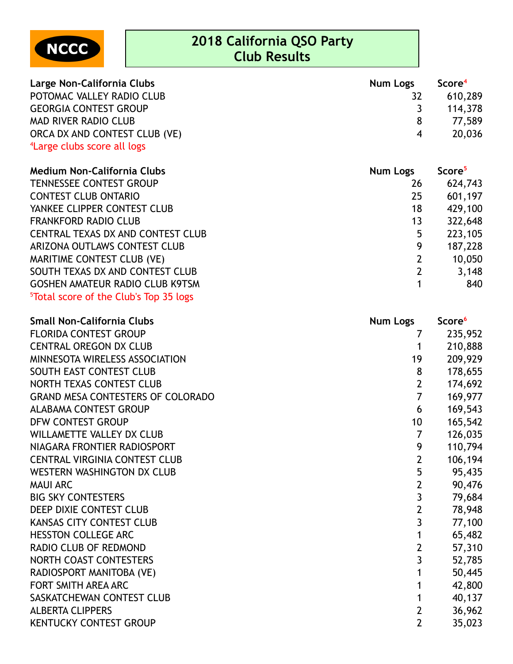NCCC

| Large Non-California Clubs              | Num Logs | Score <sup>4</sup> |
|-----------------------------------------|----------|--------------------|
| POTOMAC VALLEY RADIO CLUB               |          | 610,289            |
| <b>GEORGIA CONTEST GROUP</b>            |          | 114,378            |
| MAD RIVER RADIO CLUB                    | -8       | 77.589             |
| ORCA DX AND CONTEST CLUB (VE)           | 4        | 20,036             |
| <sup>4</sup> Large clubs score all logs |          |                    |

| <b>Medium Non-California Clubs</b>                 | <b>Num Logs</b> | Score <sup>5</sup> |
|----------------------------------------------------|-----------------|--------------------|
| <b>TENNESSEE CONTEST GROUP</b>                     | 26              | 624,743            |
| <b>CONTEST CLUB ONTARIO</b>                        | 25              | 601,197            |
| YANKEE CLIPPER CONTEST CLUB                        | 18              | 429,100            |
| <b>FRANKFORD RADIO CLUB</b>                        | 13              | 322,648            |
| <b>CENTRAL TEXAS DX AND CONTEST CLUB</b>           | 5               | 223,105            |
| ARIZONA OUTLAWS CONTEST CLUB                       | 9               | 187,228            |
| MARITIME CONTEST CLUB (VE)                         | $\overline{2}$  | 10,050             |
| SOUTH TEXAS DX AND CONTEST CLUB                    | $\overline{2}$  | 3,148              |
| <b>GOSHEN AMATEUR RADIO CLUB K9TSM</b>             |                 | 840                |
| <sup>5</sup> Total score of the Club's Top 35 logs |                 |                    |

| <b>Small Non-California Clubs</b>        | <b>Num Logs</b> | Score <sup>6</sup> |
|------------------------------------------|-----------------|--------------------|
| <b>FLORIDA CONTEST GROUP</b>             | 7               | 235,952            |
| <b>CENTRAL OREGON DX CLUB</b>            |                 | 210,888            |
| MINNESOTA WIRELESS ASSOCIATION           | 19              | 209,929            |
| SOUTH EAST CONTEST CLUB                  | 8               | 178,655            |
| NORTH TEXAS CONTEST CLUB                 | $\overline{2}$  | 174,692            |
| <b>GRAND MESA CONTESTERS OF COLORADO</b> | $\overline{7}$  | 169,977            |
| ALABAMA CONTEST GROUP                    | 6               | 169,543            |
| DFW CONTEST GROUP                        | 10 <sup>1</sup> | 165,542            |
| <b>WILLAMETTE VALLEY DX CLUB</b>         | 7               | 126,035            |
| NIAGARA FRONTIER RADIOSPORT              | 9               | 110,794            |
| <b>CENTRAL VIRGINIA CONTEST CLUB</b>     | $\overline{2}$  | 106,194            |
| WESTERN WASHINGTON DX CLUB               | 5               | 95,435             |
| <b>MAUI ARC</b>                          | $\overline{2}$  | 90,476             |
| <b>BIG SKY CONTESTERS</b>                | 3               | 79,684             |
| DEEP DIXIE CONTEST CLUB                  | $\overline{2}$  | 78,948             |
| <b>KANSAS CITY CONTEST CLUB</b>          | 3               | 77,100             |
| <b>HESSTON COLLEGE ARC</b>               | 1               | 65,482             |
| <b>RADIO CLUB OF REDMOND</b>             | $\overline{2}$  | 57,310             |
| NORTH COAST CONTESTERS                   | $\overline{3}$  | 52,785             |
| RADIOSPORT MANITOBA (VE)                 |                 | 50,445             |
| FORT SMITH AREA ARC                      |                 | 42,800             |
| SASKATCHEWAN CONTEST CLUB                |                 | 40,137             |
| <b>ALBERTA CLIPPERS</b>                  | $\overline{2}$  | 36,962             |
| <b>KENTUCKY CONTEST GROUP</b>            | $\overline{2}$  | 35,023             |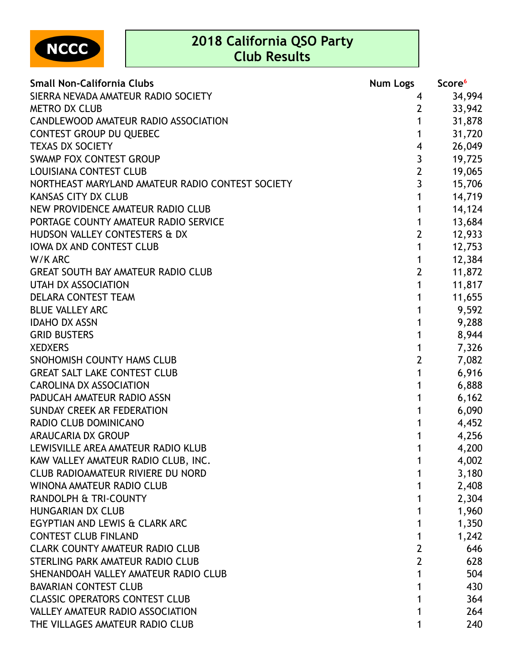NCCC

| <b>Small Non-California Clubs</b>                | <b>Num Logs</b>         | Score <sup>6</sup> |
|--------------------------------------------------|-------------------------|--------------------|
| SIERRA NEVADA AMATEUR RADIO SOCIETY              | 4                       | 34,994             |
| <b>METRO DX CLUB</b>                             | $\overline{2}$          | 33,942             |
| CANDLEWOOD AMATEUR RADIO ASSOCIATION             | 1                       | 31,878             |
| <b>CONTEST GROUP DU QUEBEC</b>                   | 1                       | 31,720             |
| <b>TEXAS DX SOCIETY</b>                          | $\overline{\mathbf{4}}$ | 26,049             |
| <b>SWAMP FOX CONTEST GROUP</b>                   | $\mathbf{3}$            | 19,725             |
| <b>LOUISIANA CONTEST CLUB</b>                    | $\overline{2}$          | 19,065             |
| NORTHEAST MARYLAND AMATEUR RADIO CONTEST SOCIETY | $\overline{3}$          | 15,706             |
| <b>KANSAS CITY DX CLUB</b>                       | 1                       | 14,719             |
| NEW PROVIDENCE AMATEUR RADIO CLUB                | 1                       | 14,124             |
| PORTAGE COUNTY AMATEUR RADIO SERVICE             | 1                       | 13,684             |
| HUDSON VALLEY CONTESTERS & DX                    | $\overline{2}$          | 12,933             |
| <b>IOWA DX AND CONTEST CLUB</b>                  | 1                       | 12,753             |
| W/K ARC                                          | 1                       | 12,384             |
| <b>GREAT SOUTH BAY AMATEUR RADIO CLUB</b>        | $\overline{2}$          | 11,872             |
| <b>UTAH DX ASSOCIATION</b>                       | 1                       | 11,817             |
| DELARA CONTEST TEAM                              | 1                       | 11,655             |
| <b>BLUE VALLEY ARC</b>                           | 1                       | 9,592              |
| <b>IDAHO DX ASSN</b>                             | 1                       | 9,288              |
| <b>GRID BUSTERS</b>                              | 1                       | 8,944              |
| <b>XEDXERS</b>                                   | 1                       | 7,326              |
| SNOHOMISH COUNTY HAMS CLUB                       | $\overline{2}$          | 7,082              |
| <b>GREAT SALT LAKE CONTEST CLUB</b>              | 1                       | 6,916              |
| <b>CAROLINA DX ASSOCIATION</b>                   | 1                       | 6,888              |
| PADUCAH AMATEUR RADIO ASSN                       | 1                       | 6,162              |
| SUNDAY CREEK AR FEDERATION                       | 1                       | 6,090              |
| <b>RADIO CLUB DOMINICANO</b>                     | 1                       | 4,452              |
| <b>ARAUCARIA DX GROUP</b>                        | 1                       | 4,256              |
| LEWISVILLE AREA AMATEUR RADIO KLUB               | 1                       | 4,200              |
| KAW VALLEY AMATEUR RADIO CLUB, INC.              | 1                       | 4,002              |
| <b>CLUB RADIOAMATEUR RIVIERE DU NORD</b>         |                         | 3,180              |
| <b>WINONA AMATEUR RADIO CLUB</b>                 |                         | 2,408              |
| RANDOLPH & TRI-COUNTY                            |                         | 2,304              |
| <b>HUNGARIAN DX CLUB</b>                         | 1                       | 1,960              |
| EGYPTIAN AND LEWIS & CLARK ARC                   |                         | 1,350              |
| <b>CONTEST CLUB FINLAND</b>                      | 1                       | 1,242              |
| <b>CLARK COUNTY AMATEUR RADIO CLUB</b>           | $\overline{2}$          | 646                |
| STERLING PARK AMATEUR RADIO CLUB                 | $\overline{2}$          | 628                |
| SHENANDOAH VALLEY AMATEUR RADIO CLUB             |                         | 504                |
| <b>BAVARIAN CONTEST CLUB</b>                     |                         | 430                |
| <b>CLASSIC OPERATORS CONTEST CLUB</b>            |                         | 364                |
| VALLEY AMATEUR RADIO ASSOCIATION                 |                         | 264                |
| THE VILLAGES AMATEUR RADIO CLUB                  |                         | 240                |